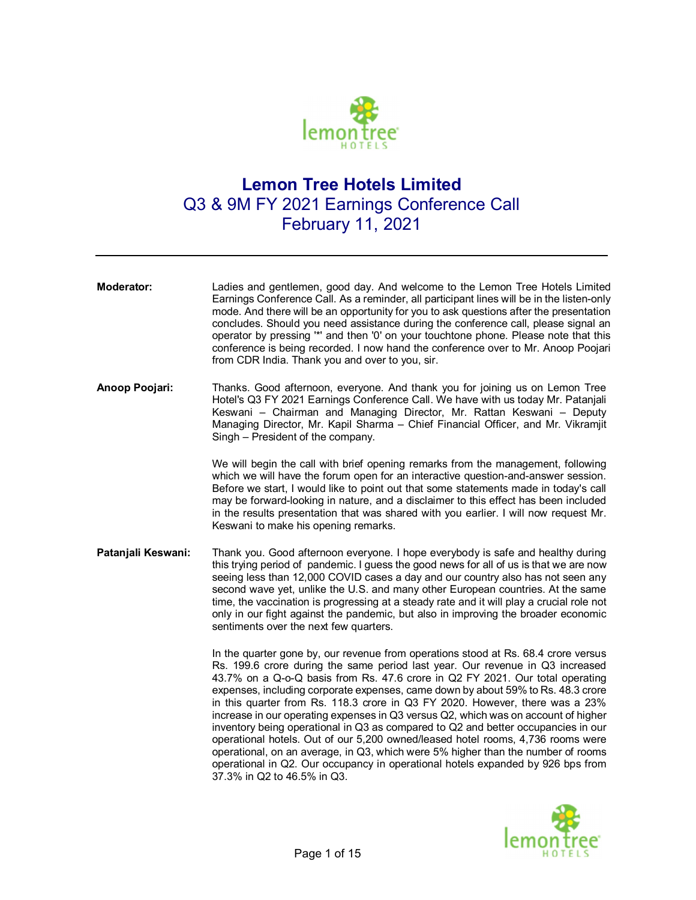

## **Lemon Tree Hotels Limited**  Q3 & 9M FY 2021 Earnings Conference Call February 11, 2021

| <b>Moderator:</b>  | Ladies and gentlemen, good day. And welcome to the Lemon Tree Hotels Limited<br>Earnings Conference Call. As a reminder, all participant lines will be in the listen-only<br>mode. And there will be an opportunity for you to ask questions after the presentation<br>concludes. Should you need assistance during the conference call, please signal an<br>operator by pressing "*' and then '0' on your touchtone phone. Please note that this<br>conference is being recorded. I now hand the conference over to Mr. Anoop Poojari<br>from CDR India. Thank you and over to you, sir.                                                                                                                                                                                  |
|--------------------|----------------------------------------------------------------------------------------------------------------------------------------------------------------------------------------------------------------------------------------------------------------------------------------------------------------------------------------------------------------------------------------------------------------------------------------------------------------------------------------------------------------------------------------------------------------------------------------------------------------------------------------------------------------------------------------------------------------------------------------------------------------------------|
| Anoop Poojari:     | Thanks. Good afternoon, everyone. And thank you for joining us on Lemon Tree<br>Hotel's Q3 FY 2021 Earnings Conference Call. We have with us today Mr. Patanjali<br>Keswani - Chairman and Managing Director, Mr. Rattan Keswani - Deputy<br>Managing Director, Mr. Kapil Sharma - Chief Financial Officer, and Mr. Vikramjit<br>Singh - President of the company.                                                                                                                                                                                                                                                                                                                                                                                                         |
|                    | We will begin the call with brief opening remarks from the management, following<br>which we will have the forum open for an interactive question-and-answer session.<br>Before we start, I would like to point out that some statements made in today's call<br>may be forward-looking in nature, and a disclaimer to this effect has been included<br>in the results presentation that was shared with you earlier. I will now request Mr.<br>Keswani to make his opening remarks.                                                                                                                                                                                                                                                                                       |
| Patanjali Keswani: | Thank you. Good afternoon everyone. I hope everybody is safe and healthy during<br>this trying period of pandemic. I guess the good news for all of us is that we are now<br>seeing less than 12,000 COVID cases a day and our country also has not seen any<br>second wave yet, unlike the U.S. and many other European countries. At the same<br>time, the vaccination is progressing at a steady rate and it will play a crucial role not<br>only in our fight against the pandemic, but also in improving the broader economic<br>sentiments over the next few quarters.                                                                                                                                                                                               |
|                    | In the quarter gone by, our revenue from operations stood at Rs. 68.4 crore versus<br>Rs. 199.6 crore during the same period last year. Our revenue in Q3 increased<br>43.7% on a Q-o-Q basis from Rs. 47.6 crore in Q2 FY 2021. Our total operating<br>expenses, including corporate expenses, came down by about 59% to Rs. 48.3 crore<br>in this quarter from Rs. 118.3 crore in Q3 FY 2020. However, there was a 23%<br>increase in our operating expenses in Q3 versus Q2, which was on account of higher<br>inventory being operational in Q3 as compared to Q2 and better occupancies in our<br>operational hotels. Out of our 5,200 owned/leased hotel rooms, 4,736 rooms were<br>operational, on an average, in Q3, which were 5% higher than the number of rooms |



37.3% in Q2 to 46.5% in Q3.

operational in Q2. Our occupancy in operational hotels expanded by 926 bps from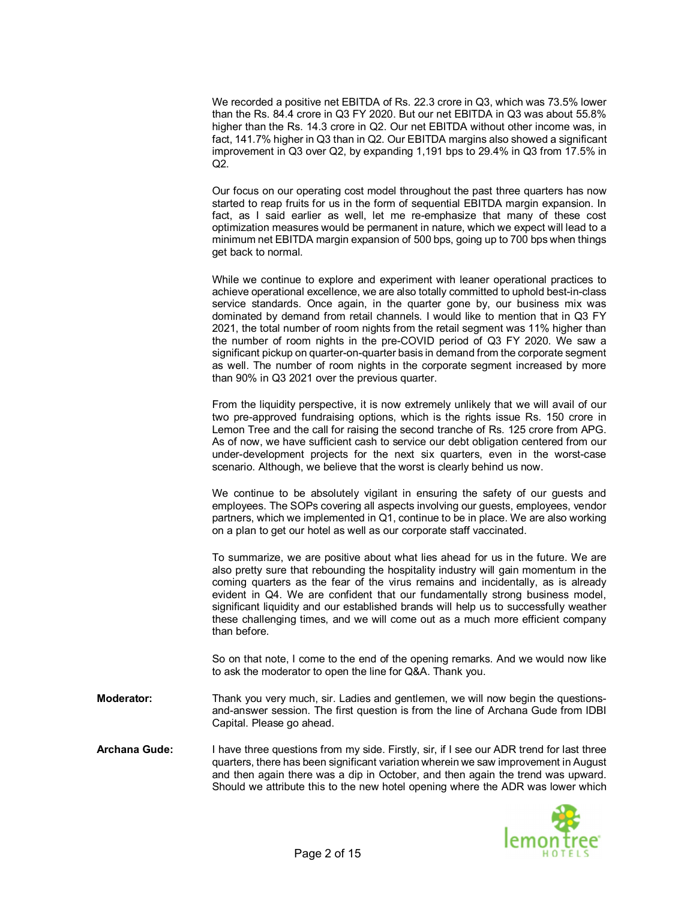We recorded a positive net EBITDA of Rs. 22.3 crore in Q3, which was 73.5% lower than the Rs. 84.4 crore in Q3 FY 2020. But our net EBITDA in Q3 was about 55.8% higher than the Rs. 14.3 crore in Q2. Our net EBITDA without other income was, in fact, 141.7% higher in Q3 than in Q2. Our EBITDA margins also showed a significant improvement in Q3 over Q2, by expanding 1,191 bps to 29.4% in Q3 from 17.5% in Q2.

Our focus on our operating cost model throughout the past three quarters has now started to reap fruits for us in the form of sequential EBITDA margin expansion. In fact, as I said earlier as well, let me re-emphasize that many of these cost optimization measures would be permanent in nature, which we expect will lead to a minimum net EBITDA margin expansion of 500 bps, going up to 700 bps when things get back to normal.

While we continue to explore and experiment with leaner operational practices to achieve operational excellence, we are also totally committed to uphold best-in-class service standards. Once again, in the quarter gone by, our business mix was dominated by demand from retail channels. I would like to mention that in Q3 FY 2021, the total number of room nights from the retail segment was 11% higher than the number of room nights in the pre-COVID period of Q3 FY 2020. We saw a significant pickup on quarter-on-quarter basis in demand from the corporate segment as well. The number of room nights in the corporate segment increased by more than 90% in Q3 2021 over the previous quarter.

From the liquidity perspective, it is now extremely unlikely that we will avail of our two pre-approved fundraising options, which is the rights issue Rs. 150 crore in Lemon Tree and the call for raising the second tranche of Rs. 125 crore from APG. As of now, we have sufficient cash to service our debt obligation centered from our under-development projects for the next six quarters, even in the worst-case scenario. Although, we believe that the worst is clearly behind us now.

We continue to be absolutely vigilant in ensuring the safety of our guests and employees. The SOPs covering all aspects involving our guests, employees, vendor partners, which we implemented in Q1, continue to be in place. We are also working on a plan to get our hotel as well as our corporate staff vaccinated.

To summarize, we are positive about what lies ahead for us in the future. We are also pretty sure that rebounding the hospitality industry will gain momentum in the coming quarters as the fear of the virus remains and incidentally, as is already evident in Q4. We are confident that our fundamentally strong business model, significant liquidity and our established brands will help us to successfully weather these challenging times, and we will come out as a much more efficient company than before.

So on that note, I come to the end of the opening remarks. And we would now like to ask the moderator to open the line for Q&A. Thank you.

- **Moderator:** Thank you very much, sir. Ladies and gentlemen, we will now begin the questionsand-answer session. The first question is from the line of Archana Gude from IDBI Capital. Please go ahead.
- **Archana Gude:** I have three questions from my side. Firstly, sir, if I see our ADR trend for last three quarters, there has been significant variation wherein we saw improvement in August and then again there was a dip in October, and then again the trend was upward. Should we attribute this to the new hotel opening where the ADR was lower which

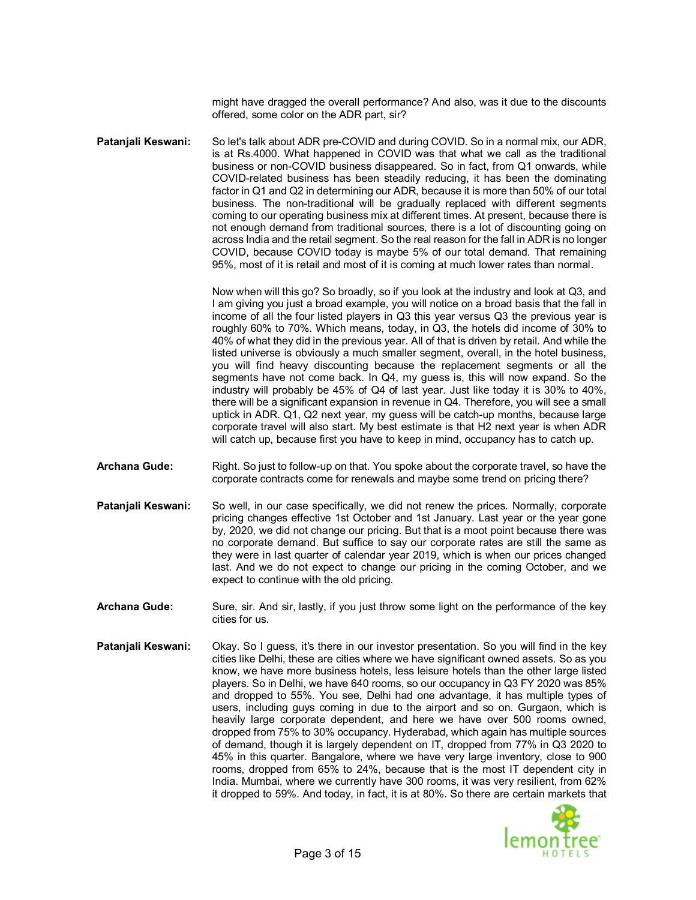might have dragged the overall performance? And also, was it due to the discounts offered, some color on the ADR part, sir?

**Patanjali Keswani:** So let's talk about ADR pre-COVID and during COVID. So in a normal mix, our ADR, is at Rs.4000. What happened in COVID was that what we call as the traditional business or non-COVID business disappeared. So in fact, from Q1 onwards, while COVID-related business has been steadily reducing, it has been the dominating factor in Q1 and Q2 in determining our ADR, because it is more than 50% of our total business. The non-traditional will be gradually replaced with different segments coming to our operating business mix at different times. At present, because there is not enough demand from traditional sources, there is a lot of discounting going on across India and the retail segment. So the real reason for the fall in ADR is no longer COVID, because COVID today is maybe 5% of our total demand. That remaining 95%, most of it is retail and most of it is coming at much lower rates than normal.

> Now when will this go? So broadly, so if you look at the industry and look at Q3, and I am giving you just a broad example, you will notice on a broad basis that the fall in income of all the four listed players in Q3 this year versus Q3 the previous year is roughly 60% to 70%. Which means, today, in Q3, the hotels did income of 30% to 40% of what they did in the previous year. All of that is driven by retail. And while the listed universe is obviously a much smaller segment, overall, in the hotel business, you will find heavy discounting because the replacement segments or all the segments have not come back. In Q4, my guess is, this will now expand. So the industry will probably be 45% of Q4 of last year. Just like today it is 30% to 40%, there will be a significant expansion in revenue in Q4. Therefore, you will see a small uptick in ADR. Q1, Q2 next year, my guess will be catch-up months, because large corporate travel will also start. My best estimate is that H2 next year is when ADR will catch up, because first you have to keep in mind, occupancy has to catch up.

- **Archana Gude:** Right. So just to follow-up on that. You spoke about the corporate travel, so have the corporate contracts come for renewals and maybe some trend on pricing there?
- **Patanjali Keswani:** So well, in our case specifically, we did not renew the prices. Normally, corporate pricing changes effective 1st October and 1st January. Last year or the year gone by, 2020, we did not change our pricing. But that is a moot point because there was no corporate demand. But suffice to say our corporate rates are still the same as they were in last quarter of calendar year 2019, which is when our prices changed last. And we do not expect to change our pricing in the coming October, and we expect to continue with the old pricing.
- **Archana Gude:** Sure, sir. And sir, lastly, if you just throw some light on the performance of the key cities for us.
- **Patanjali Keswani:** Okay. So I guess, it's there in our investor presentation. So you will find in the key cities like Delhi, these are cities where we have significant owned assets. So as you know, we have more business hotels, less leisure hotels than the other large listed players. So in Delhi, we have 640 rooms, so our occupancy in Q3 FY 2020 was 85% and dropped to 55%. You see, Delhi had one advantage, it has multiple types of users, including guys coming in due to the airport and so on. Gurgaon, which is heavily large corporate dependent, and here we have over 500 rooms owned, dropped from 75% to 30% occupancy. Hyderabad, which again has multiple sources of demand, though it is largely dependent on IT, dropped from 77% in Q3 2020 to 45% in this quarter. Bangalore, where we have very large inventory, close to 900 rooms, dropped from 65% to 24%, because that is the most IT dependent city in India. Mumbai, where we currently have 300 rooms, it was very resilient, from 62% it dropped to 59%. And today, in fact, it is at 80%. So there are certain markets that

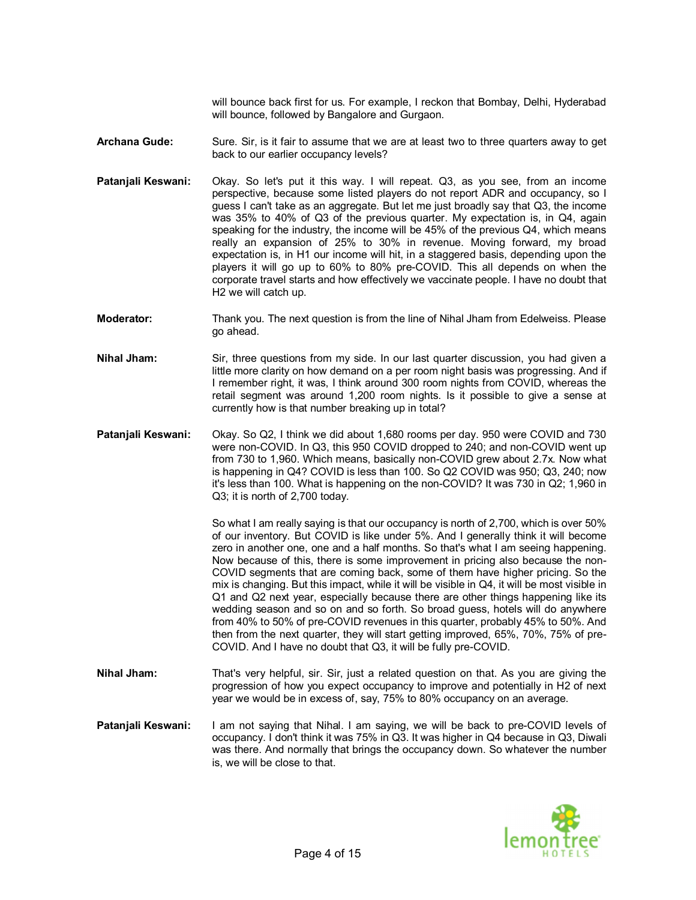will bounce back first for us. For example, I reckon that Bombay, Delhi, Hyderabad will bounce, followed by Bangalore and Gurgaon.

**Archana Gude:** Sure. Sir, is it fair to assume that we are at least two to three quarters away to get back to our earlier occupancy levels?

- **Patanjali Keswani:** Okay. So let's put it this way. I will repeat. Q3, as you see, from an income perspective, because some listed players do not report ADR and occupancy, so I guess I can't take as an aggregate. But let me just broadly say that Q3, the income was 35% to 40% of Q3 of the previous quarter. My expectation is, in Q4, again speaking for the industry, the income will be 45% of the previous Q4, which means really an expansion of 25% to 30% in revenue. Moving forward, my broad expectation is, in H1 our income will hit, in a staggered basis, depending upon the players it will go up to 60% to 80% pre-COVID. This all depends on when the corporate travel starts and how effectively we vaccinate people. I have no doubt that H2 we will catch up.
- **Moderator:** Thank you. The next question is from the line of Nihal Jham from Edelweiss. Please go ahead.
- **Nihal Jham:** Sir, three questions from my side. In our last quarter discussion, you had given a little more clarity on how demand on a per room night basis was progressing. And if I remember right, it was, I think around 300 room nights from COVID, whereas the retail segment was around 1,200 room nights. Is it possible to give a sense at currently how is that number breaking up in total?
- **Patanjali Keswani:** Okay. So Q2, I think we did about 1,680 rooms per day. 950 were COVID and 730 were non-COVID. In Q3, this 950 COVID dropped to 240; and non-COVID went up from 730 to 1,960. Which means, basically non-COVID grew about 2.7x. Now what is happening in Q4? COVID is less than 100. So Q2 COVID was 950; Q3, 240; now it's less than 100. What is happening on the non-COVID? It was 730 in Q2; 1,960 in Q3; it is north of 2,700 today.

So what I am really saying is that our occupancy is north of 2,700, which is over 50% of our inventory. But COVID is like under 5%. And I generally think it will become zero in another one, one and a half months. So that's what I am seeing happening. Now because of this, there is some improvement in pricing also because the non-COVID segments that are coming back, some of them have higher pricing. So the mix is changing. But this impact, while it will be visible in Q4, it will be most visible in Q1 and Q2 next year, especially because there are other things happening like its wedding season and so on and so forth. So broad guess, hotels will do anywhere from 40% to 50% of pre-COVID revenues in this quarter, probably 45% to 50%. And then from the next quarter, they will start getting improved, 65%, 70%, 75% of pre-COVID. And I have no doubt that Q3, it will be fully pre-COVID.

- **Nihal Jham:** That's very helpful, sir. Sir, just a related question on that. As you are giving the progression of how you expect occupancy to improve and potentially in H2 of next year we would be in excess of, say, 75% to 80% occupancy on an average.
- **Patanjali Keswani:** I am not saying that Nihal. I am saying, we will be back to pre-COVID levels of occupancy. I don't think it was 75% in Q3. It was higher in Q4 because in Q3, Diwali was there. And normally that brings the occupancy down. So whatever the number is, we will be close to that.

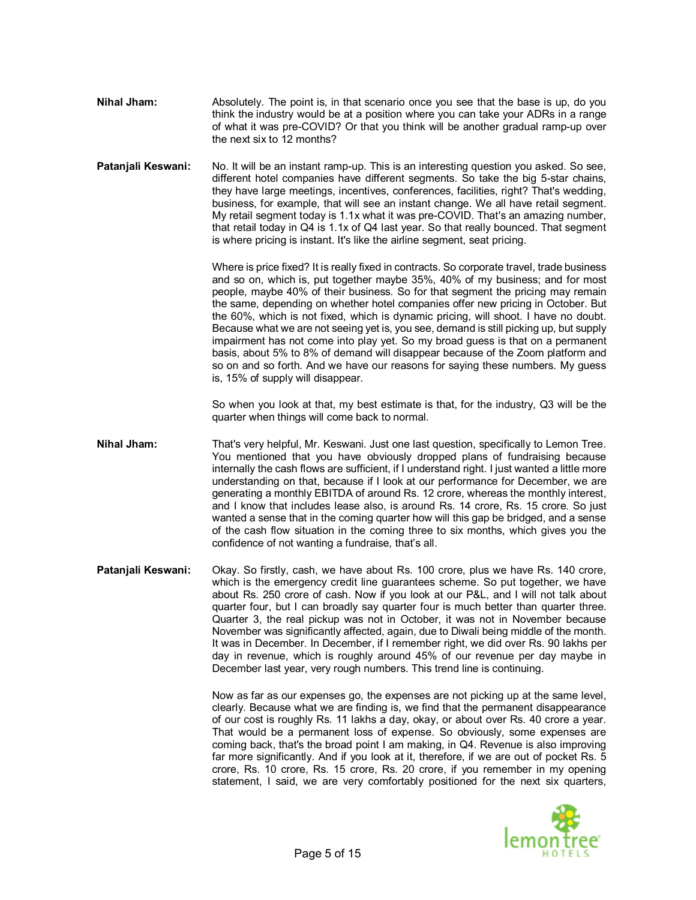- **Nihal Jham:** Absolutely. The point is, in that scenario once you see that the base is up, do you think the industry would be at a position where you can take your ADRs in a range of what it was pre-COVID? Or that you think will be another gradual ramp-up over the next six to 12 months?
- **Patanjali Keswani:** No. It will be an instant ramp-up. This is an interesting question you asked. So see, different hotel companies have different segments. So take the big 5-star chains, they have large meetings, incentives, conferences, facilities, right? That's wedding, business, for example, that will see an instant change. We all have retail segment. My retail segment today is 1.1x what it was pre-COVID. That's an amazing number, that retail today in Q4 is 1.1x of Q4 last year. So that really bounced. That segment is where pricing is instant. It's like the airline segment, seat pricing.

Where is price fixed? It is really fixed in contracts. So corporate travel, trade business and so on, which is, put together maybe 35%, 40% of my business; and for most people, maybe 40% of their business. So for that segment the pricing may remain the same, depending on whether hotel companies offer new pricing in October. But the 60%, which is not fixed, which is dynamic pricing, will shoot. I have no doubt. Because what we are not seeing yet is, you see, demand is still picking up, but supply impairment has not come into play yet. So my broad guess is that on a permanent basis, about 5% to 8% of demand will disappear because of the Zoom platform and so on and so forth. And we have our reasons for saying these numbers. My guess is, 15% of supply will disappear.

So when you look at that, my best estimate is that, for the industry, Q3 will be the quarter when things will come back to normal.

- **Nihal Jham:** That's very helpful, Mr. Keswani. Just one last question, specifically to Lemon Tree. You mentioned that you have obviously dropped plans of fundraising because internally the cash flows are sufficient, if I understand right. I just wanted a little more understanding on that, because if I look at our performance for December, we are generating a monthly EBITDA of around Rs. 12 crore, whereas the monthly interest, and I know that includes lease also, is around Rs. 14 crore, Rs. 15 crore. So just wanted a sense that in the coming quarter how will this gap be bridged, and a sense of the cash flow situation in the coming three to six months, which gives you the confidence of not wanting a fundraise, that's all.
- **Patanjali Keswani:** Okay. So firstly, cash, we have about Rs. 100 crore, plus we have Rs. 140 crore, which is the emergency credit line guarantees scheme. So put together, we have about Rs. 250 crore of cash. Now if you look at our P&L, and I will not talk about quarter four, but I can broadly say quarter four is much better than quarter three. Quarter 3, the real pickup was not in October, it was not in November because November was significantly affected, again, due to Diwali being middle of the month. It was in December. In December, if I remember right, we did over Rs. 90 lakhs per day in revenue, which is roughly around 45% of our revenue per day maybe in December last year, very rough numbers. This trend line is continuing.

Now as far as our expenses go, the expenses are not picking up at the same level, clearly. Because what we are finding is, we find that the permanent disappearance of our cost is roughly Rs. 11 lakhs a day, okay, or about over Rs. 40 crore a year. That would be a permanent loss of expense. So obviously, some expenses are coming back, that's the broad point I am making, in Q4. Revenue is also improving far more significantly. And if you look at it, therefore, if we are out of pocket Rs. 5 crore, Rs. 10 crore, Rs. 15 crore, Rs. 20 crore, if you remember in my opening statement, I said, we are very comfortably positioned for the next six quarters,

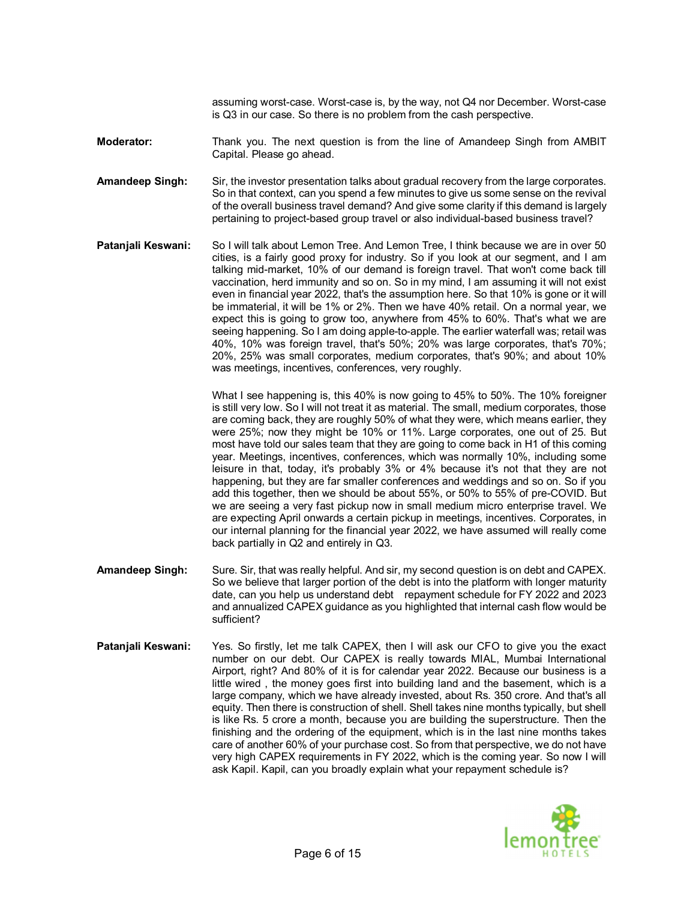assuming worst-case. Worst-case is, by the way, not Q4 nor December. Worst-case is Q3 in our case. So there is no problem from the cash perspective.

**Moderator:** Thank you. The next question is from the line of Amandeep Singh from AMBIT Capital. Please go ahead.

**Amandeep Singh:** Sir, the investor presentation talks about gradual recovery from the large corporates. So in that context, can you spend a few minutes to give us some sense on the revival of the overall business travel demand? And give some clarity if this demand is largely pertaining to project-based group travel or also individual-based business travel?

**Patanjali Keswani:** So I will talk about Lemon Tree. And Lemon Tree, I think because we are in over 50 cities, is a fairly good proxy for industry. So if you look at our segment, and I am talking mid-market, 10% of our demand is foreign travel. That won't come back till vaccination, herd immunity and so on. So in my mind, I am assuming it will not exist even in financial year 2022, that's the assumption here. So that 10% is gone or it will be immaterial, it will be 1% or 2%. Then we have 40% retail. On a normal year, we expect this is going to grow too, anywhere from 45% to 60%. That's what we are seeing happening. So I am doing apple-to-apple. The earlier waterfall was; retail was 40%, 10% was foreign travel, that's 50%; 20% was large corporates, that's 70%; 20%, 25% was small corporates, medium corporates, that's 90%; and about 10% was meetings, incentives, conferences, very roughly.

> What I see happening is, this 40% is now going to 45% to 50%. The 10% foreigner is still very low. So I will not treat it as material. The small, medium corporates, those are coming back, they are roughly 50% of what they were, which means earlier, they were 25%; now they might be 10% or 11%. Large corporates, one out of 25. But most have told our sales team that they are going to come back in H1 of this coming year. Meetings, incentives, conferences, which was normally 10%, including some leisure in that, today, it's probably 3% or 4% because it's not that they are not happening, but they are far smaller conferences and weddings and so on. So if you add this together, then we should be about 55%, or 50% to 55% of pre-COVID. But we are seeing a very fast pickup now in small medium micro enterprise travel. We are expecting April onwards a certain pickup in meetings, incentives. Corporates, in our internal planning for the financial year 2022, we have assumed will really come back partially in Q2 and entirely in Q3.

- **Amandeep Singh:** Sure. Sir, that was really helpful. And sir, my second question is on debt and CAPEX. So we believe that larger portion of the debt is into the platform with longer maturity date, can you help us understand debt repayment schedule for FY 2022 and 2023 and annualized CAPEX guidance as you highlighted that internal cash flow would be sufficient?
- **Patanjali Keswani:** Yes. So firstly, let me talk CAPEX, then I will ask our CFO to give you the exact number on our debt. Our CAPEX is really towards MIAL, Mumbai International Airport, right? And 80% of it is for calendar year 2022. Because our business is a little wired , the money goes first into building land and the basement, which is a large company, which we have already invested, about Rs. 350 crore. And that's all equity. Then there is construction of shell. Shell takes nine months typically, but shell is like Rs. 5 crore a month, because you are building the superstructure. Then the finishing and the ordering of the equipment, which is in the last nine months takes care of another 60% of your purchase cost. So from that perspective, we do not have very high CAPEX requirements in FY 2022, which is the coming year. So now I will ask Kapil. Kapil, can you broadly explain what your repayment schedule is?

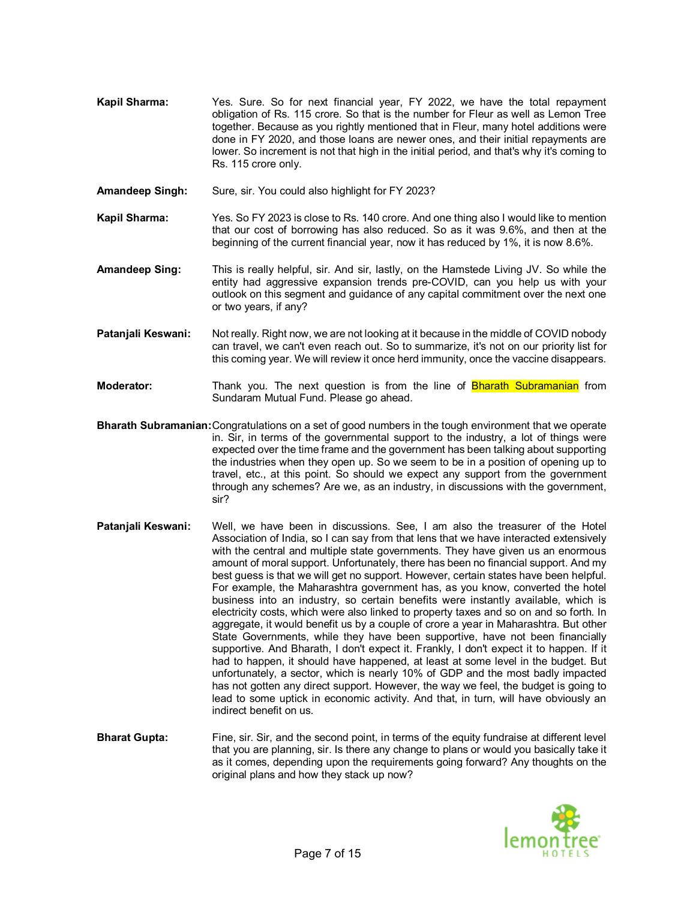- **Kapil Sharma:** Yes. Sure. So for next financial year, FY 2022, we have the total repayment obligation of Rs. 115 crore. So that is the number for Fleur as well as Lemon Tree together. Because as you rightly mentioned that in Fleur, many hotel additions were done in FY 2020, and those loans are newer ones, and their initial repayments are lower. So increment is not that high in the initial period, and that's why it's coming to Rs. 115 crore only.
- **Amandeep Singh:** Sure, sir. You could also highlight for FY 2023?
- **Kapil Sharma:** Yes. So FY 2023 is close to Rs. 140 crore. And one thing also I would like to mention that our cost of borrowing has also reduced. So as it was 9.6%, and then at the beginning of the current financial year, now it has reduced by 1%, it is now 8.6%.
- **Amandeep Sing:** This is really helpful, sir. And sir, lastly, on the Hamstede Living JV. So while the entity had aggressive expansion trends pre-COVID, can you help us with your outlook on this segment and guidance of any capital commitment over the next one or two years, if any?
- **Patanjali Keswani:** Not really. Right now, we are not looking at it because in the middle of COVID nobody can travel, we can't even reach out. So to summarize, it's not on our priority list for this coming year. We will review it once herd immunity, once the vaccine disappears.
- **Moderator:** Thank you. The next question is from the line of **Bharath Subramanian** from Sundaram Mutual Fund. Please go ahead.
- **Bharath Subramanian:**Congratulations on a set of good numbers in the tough environment that we operate in. Sir, in terms of the governmental support to the industry, a lot of things were expected over the time frame and the government has been talking about supporting the industries when they open up. So we seem to be in a position of opening up to travel, etc., at this point. So should we expect any support from the government through any schemes? Are we, as an industry, in discussions with the government, sir?
- **Patanjali Keswani:** Well, we have been in discussions. See, I am also the treasurer of the Hotel Association of India, so I can say from that lens that we have interacted extensively with the central and multiple state governments. They have given us an enormous amount of moral support. Unfortunately, there has been no financial support. And my best guess is that we will get no support. However, certain states have been helpful. For example, the Maharashtra government has, as you know, converted the hotel business into an industry, so certain benefits were instantly available, which is electricity costs, which were also linked to property taxes and so on and so forth. In aggregate, it would benefit us by a couple of crore a year in Maharashtra. But other State Governments, while they have been supportive, have not been financially supportive. And Bharath, I don't expect it. Frankly, I don't expect it to happen. If it had to happen, it should have happened, at least at some level in the budget. But unfortunately, a sector, which is nearly 10% of GDP and the most badly impacted has not gotten any direct support. However, the way we feel, the budget is going to lead to some uptick in economic activity. And that, in turn, will have obviously an indirect benefit on us.
- **Bharat Gupta:** Fine, sir. Sir, and the second point, in terms of the equity fundraise at different level that you are planning, sir. Is there any change to plans or would you basically take it as it comes, depending upon the requirements going forward? Any thoughts on the original plans and how they stack up now?

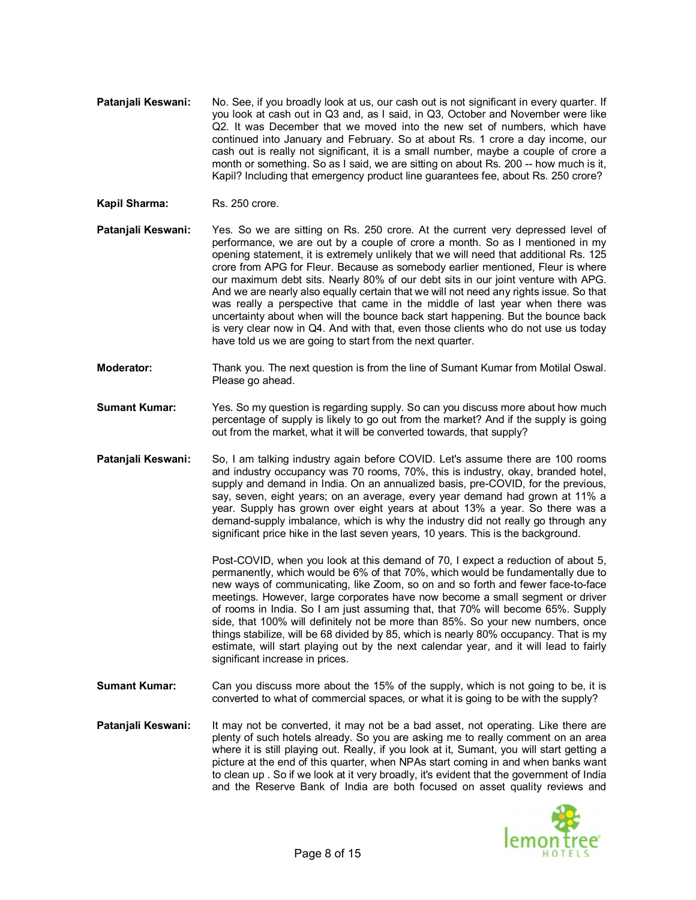- **Pataniali Keswani:** No. See, if you broadly look at us, our cash out is not significant in every quarter. If you look at cash out in Q3 and, as I said, in Q3, October and November were like Q2. It was December that we moved into the new set of numbers, which have continued into January and February. So at about Rs. 1 crore a day income, our cash out is really not significant, it is a small number, maybe a couple of crore a month or something. So as I said, we are sitting on about Rs. 200 -- how much is it, Kapil? Including that emergency product line guarantees fee, about Rs. 250 crore?
- **Kapil Sharma:** Rs. 250 crore.
- Patanjali Keswani: Yes. So we are sitting on Rs. 250 crore. At the current very depressed level of performance, we are out by a couple of crore a month. So as I mentioned in my opening statement, it is extremely unlikely that we will need that additional Rs. 125 crore from APG for Fleur. Because as somebody earlier mentioned, Fleur is where our maximum debt sits. Nearly 80% of our debt sits in our joint venture with APG. And we are nearly also equally certain that we will not need any rights issue. So that was really a perspective that came in the middle of last year when there was uncertainty about when will the bounce back start happening. But the bounce back is very clear now in Q4. And with that, even those clients who do not use us today have told us we are going to start from the next quarter.
- **Moderator:** Thank you. The next question is from the line of Sumant Kumar from Motilal Oswal. Please go ahead.
- **Sumant Kumar:** Yes. So my question is regarding supply. So can you discuss more about how much percentage of supply is likely to go out from the market? And if the supply is going out from the market, what it will be converted towards, that supply?
- **Patanjali Keswani:** So, I am talking industry again before COVID. Let's assume there are 100 rooms and industry occupancy was 70 rooms, 70%, this is industry, okay, branded hotel, supply and demand in India. On an annualized basis, pre-COVID, for the previous, say, seven, eight years; on an average, every year demand had grown at 11% a year. Supply has grown over eight years at about 13% a year. So there was a demand-supply imbalance, which is why the industry did not really go through any significant price hike in the last seven years, 10 years. This is the background.

Post-COVID, when you look at this demand of 70, I expect a reduction of about 5, permanently, which would be 6% of that 70%, which would be fundamentally due to new ways of communicating, like Zoom, so on and so forth and fewer face-to-face meetings. However, large corporates have now become a small segment or driver of rooms in India. So I am just assuming that, that 70% will become 65%. Supply side, that 100% will definitely not be more than 85%. So your new numbers, once things stabilize, will be 68 divided by 85, which is nearly 80% occupancy. That is my estimate, will start playing out by the next calendar year, and it will lead to fairly significant increase in prices.

- **Sumant Kumar:** Can you discuss more about the 15% of the supply, which is not going to be, it is converted to what of commercial spaces, or what it is going to be with the supply?
- **Patanjali Keswani:** It may not be converted, it may not be a bad asset, not operating. Like there are plenty of such hotels already. So you are asking me to really comment on an area where it is still playing out. Really, if you look at it, Sumant, you will start getting a picture at the end of this quarter, when NPAs start coming in and when banks want to clean up . So if we look at it very broadly, it's evident that the government of India and the Reserve Bank of India are both focused on asset quality reviews and

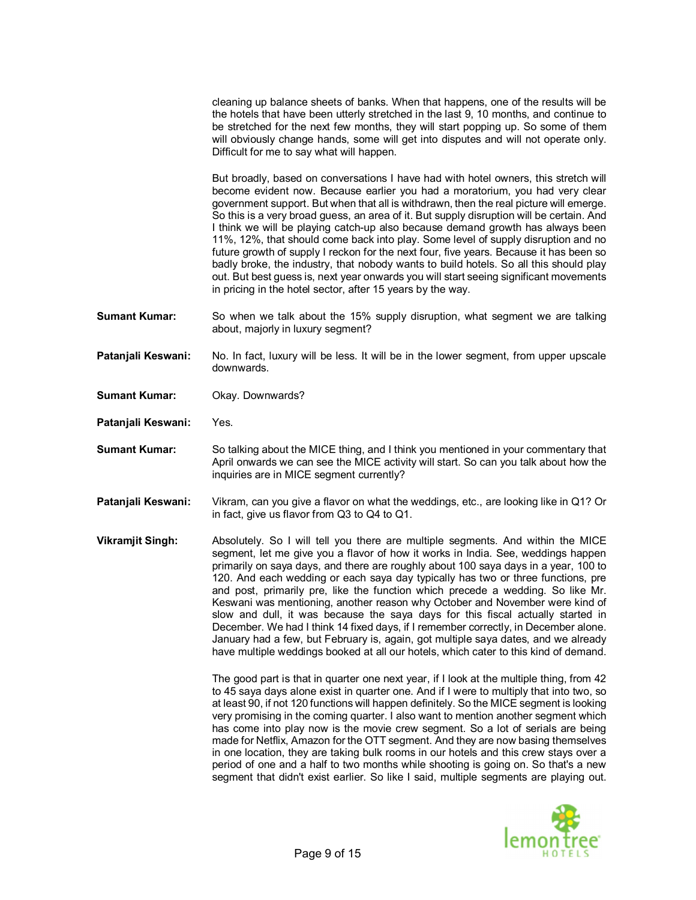cleaning up balance sheets of banks. When that happens, one of the results will be the hotels that have been utterly stretched in the last 9, 10 months, and continue to be stretched for the next few months, they will start popping up. So some of them will obviously change hands, some will get into disputes and will not operate only. Difficult for me to say what will happen.

But broadly, based on conversations I have had with hotel owners, this stretch will become evident now. Because earlier you had a moratorium, you had very clear government support. But when that all is withdrawn, then the real picture will emerge. So this is a very broad guess, an area of it. But supply disruption will be certain. And I think we will be playing catch-up also because demand growth has always been 11%, 12%, that should come back into play. Some level of supply disruption and no future growth of supply I reckon for the next four, five years. Because it has been so badly broke, the industry, that nobody wants to build hotels. So all this should play out. But best guess is, next year onwards you will start seeing significant movements in pricing in the hotel sector, after 15 years by the way.

- **Sumant Kumar:** So when we talk about the 15% supply disruption, what segment we are talking about, majorly in luxury segment?
- **Patanjali Keswani:** No. In fact, luxury will be less. It will be in the lower segment, from upper upscale downwards.
- **Sumant Kumar:** Okay. Downwards?
- **Patanjali Keswani:** Yes.
- **Sumant Kumar:** So talking about the MICE thing, and I think you mentioned in your commentary that April onwards we can see the MICE activity will start. So can you talk about how the inquiries are in MICE segment currently?
- **Patanjali Keswani:** Vikram, can you give a flavor on what the weddings, etc., are looking like in Q1? Or in fact, give us flavor from Q3 to Q4 to Q1.
- **Vikramjit Singh:** Absolutely. So I will tell you there are multiple segments. And within the MICE segment, let me give you a flavor of how it works in India. See, weddings happen primarily on saya days, and there are roughly about 100 saya days in a year, 100 to 120. And each wedding or each saya day typically has two or three functions, pre and post, primarily pre, like the function which precede a wedding. So like Mr. Keswani was mentioning, another reason why October and November were kind of slow and dull, it was because the saya days for this fiscal actually started in December. We had I think 14 fixed days, if I remember correctly, in December alone. January had a few, but February is, again, got multiple saya dates, and we already have multiple weddings booked at all our hotels, which cater to this kind of demand.

The good part is that in quarter one next year, if I look at the multiple thing, from 42 to 45 saya days alone exist in quarter one. And if I were to multiply that into two, so at least 90, if not 120 functions will happen definitely. So the MICE segment is looking very promising in the coming quarter. I also want to mention another segment which has come into play now is the movie crew segment. So a lot of serials are being made for Netflix, Amazon for the OTT segment. And they are now basing themselves in one location, they are taking bulk rooms in our hotels and this crew stays over a period of one and a half to two months while shooting is going on. So that's a new segment that didn't exist earlier. So like I said, multiple segments are playing out.

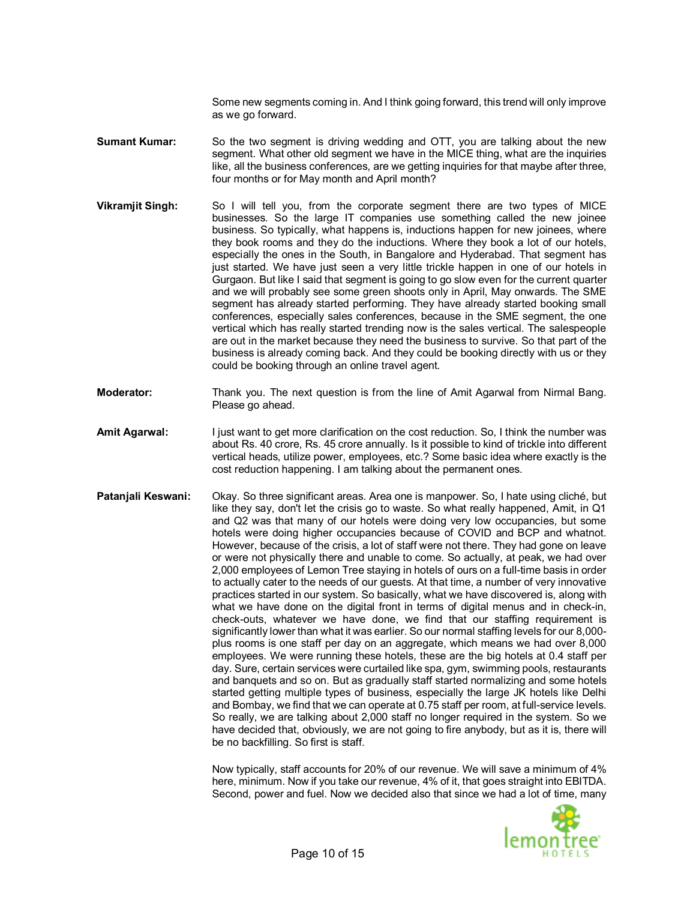Some new segments coming in. And I think going forward, this trend will only improve as we go forward.

**Sumant Kumar:** So the two segment is driving wedding and OTT, you are talking about the new segment. What other old segment we have in the MICE thing, what are the inquiries like, all the business conferences, are we getting inquiries for that maybe after three, four months or for May month and April month?

- **Vikramjit Singh:** So I will tell you, from the corporate segment there are two types of MICE businesses. So the large IT companies use something called the new joinee business. So typically, what happens is, inductions happen for new joinees, where they book rooms and they do the inductions. Where they book a lot of our hotels, especially the ones in the South, in Bangalore and Hyderabad. That segment has just started. We have just seen a very little trickle happen in one of our hotels in Gurgaon. But like I said that segment is going to go slow even for the current quarter and we will probably see some green shoots only in April, May onwards. The SME segment has already started performing. They have already started booking small conferences, especially sales conferences, because in the SME segment, the one vertical which has really started trending now is the sales vertical. The salespeople are out in the market because they need the business to survive. So that part of the business is already coming back. And they could be booking directly with us or they could be booking through an online travel agent.
- **Moderator:** Thank you. The next question is from the line of Amit Agarwal from Nirmal Bang. Please go ahead.
- **Amit Agarwal:** I just want to get more clarification on the cost reduction. So, I think the number was about Rs. 40 crore, Rs. 45 crore annually. Is it possible to kind of trickle into different vertical heads, utilize power, employees, etc.? Some basic idea where exactly is the cost reduction happening. I am talking about the permanent ones.
- **Patanjali Keswani:** Okay. So three significant areas. Area one is manpower. So, I hate using cliché, but like they say, don't let the crisis go to waste. So what really happened, Amit, in Q1 and Q2 was that many of our hotels were doing very low occupancies, but some hotels were doing higher occupancies because of COVID and BCP and whatnot. However, because of the crisis, a lot of staff were not there. They had gone on leave or were not physically there and unable to come. So actually, at peak, we had over 2,000 employees of Lemon Tree staying in hotels of ours on a full-time basis in order to actually cater to the needs of our guests. At that time, a number of very innovative practices started in our system. So basically, what we have discovered is, along with what we have done on the digital front in terms of digital menus and in check-in, check-outs, whatever we have done, we find that our staffing requirement is significantly lower than what it was earlier. So our normal staffing levels for our 8,000 plus rooms is one staff per day on an aggregate, which means we had over 8,000 employees. We were running these hotels, these are the big hotels at 0.4 staff per day. Sure, certain services were curtailed like spa, gym, swimming pools, restaurants and banquets and so on. But as gradually staff started normalizing and some hotels started getting multiple types of business, especially the large JK hotels like Delhi and Bombay, we find that we can operate at 0.75 staff per room, at full-service levels. So really, we are talking about 2,000 staff no longer required in the system. So we have decided that, obviously, we are not going to fire anybody, but as it is, there will be no backfilling. So first is staff.

Now typically, staff accounts for 20% of our revenue. We will save a minimum of 4% here, minimum. Now if you take our revenue, 4% of it, that goes straight into EBITDA. Second, power and fuel. Now we decided also that since we had a lot of time, many

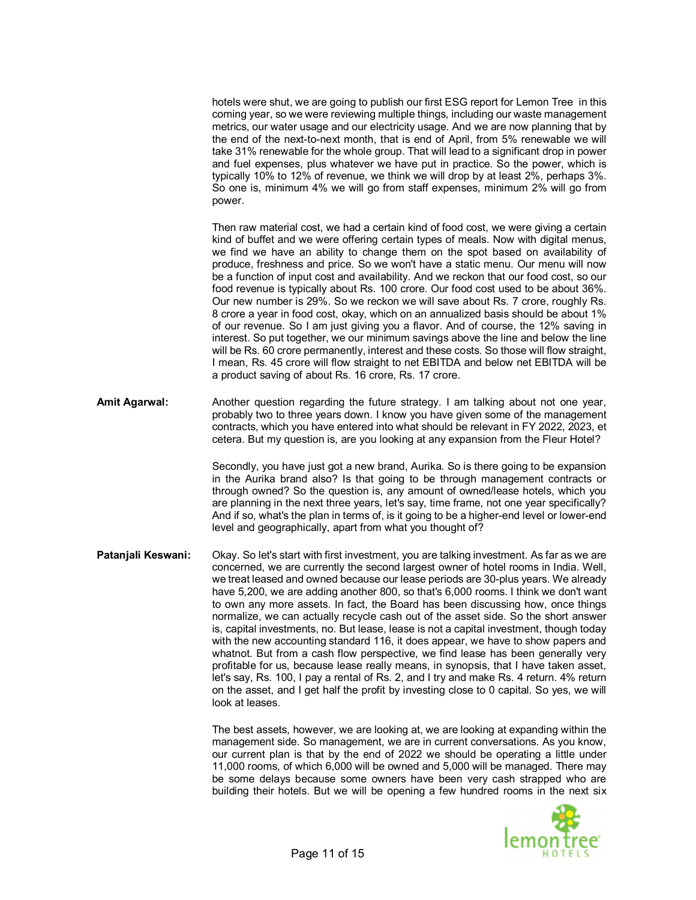hotels were shut, we are going to publish our first ESG report for Lemon Tree in this coming year, so we were reviewing multiple things, including our waste management metrics, our water usage and our electricity usage. And we are now planning that by the end of the next-to-next month, that is end of April, from 5% renewable we will take 31% renewable for the whole group. That will lead to a significant drop in power and fuel expenses, plus whatever we have put in practice. So the power, which is typically 10% to 12% of revenue, we think we will drop by at least 2%, perhaps 3%. So one is, minimum 4% we will go from staff expenses, minimum 2% will go from power.

Then raw material cost, we had a certain kind of food cost, we were giving a certain kind of buffet and we were offering certain types of meals. Now with digital menus, we find we have an ability to change them on the spot based on availability of produce, freshness and price. So we won't have a static menu. Our menu will now be a function of input cost and availability. And we reckon that our food cost, so our food revenue is typically about Rs. 100 crore. Our food cost used to be about 36%. Our new number is 29%. So we reckon we will save about Rs. 7 crore, roughly Rs. 8 crore a year in food cost, okay, which on an annualized basis should be about 1% of our revenue. So I am just giving you a flavor. And of course, the 12% saving in interest. So put together, we our minimum savings above the line and below the line will be Rs. 60 crore permanently, interest and these costs. So those will flow straight, I mean, Rs. 45 crore will flow straight to net EBITDA and below net EBITDA will be a product saving of about Rs. 16 crore, Rs. 17 crore.

**Amit Agarwal:** Another question regarding the future strategy. I am talking about not one year, probably two to three years down. I know you have given some of the management contracts, which you have entered into what should be relevant in FY 2022, 2023, et cetera. But my question is, are you looking at any expansion from the Fleur Hotel?

> Secondly, you have just got a new brand, Aurika. So is there going to be expansion in the Aurika brand also? Is that going to be through management contracts or through owned? So the question is, any amount of owned/lease hotels, which you are planning in the next three years, let's say, time frame, not one year specifically? And if so, what's the plan in terms of, is it going to be a higher-end level or lower-end level and geographically, apart from what you thought of?

**Patanjali Keswani:** Okay. So let's start with first investment, you are talking investment. As far as we are concerned, we are currently the second largest owner of hotel rooms in India. Well, we treat leased and owned because our lease periods are 30-plus years. We already have 5,200, we are adding another 800, so that's 6,000 rooms. I think we don't want to own any more assets. In fact, the Board has been discussing how, once things normalize, we can actually recycle cash out of the asset side. So the short answer is, capital investments, no. But lease, lease is not a capital investment, though today with the new accounting standard 116, it does appear, we have to show papers and whatnot. But from a cash flow perspective, we find lease has been generally very profitable for us, because lease really means, in synopsis, that I have taken asset, let's say, Rs. 100, I pay a rental of Rs. 2, and I try and make Rs. 4 return. 4% return on the asset, and I get half the profit by investing close to 0 capital. So yes, we will look at leases.

> The best assets, however, we are looking at, we are looking at expanding within the management side. So management, we are in current conversations. As you know, our current plan is that by the end of 2022 we should be operating a little under 11,000 rooms, of which 6,000 will be owned and 5,000 will be managed. There may be some delays because some owners have been very cash strapped who are building their hotels. But we will be opening a few hundred rooms in the next six

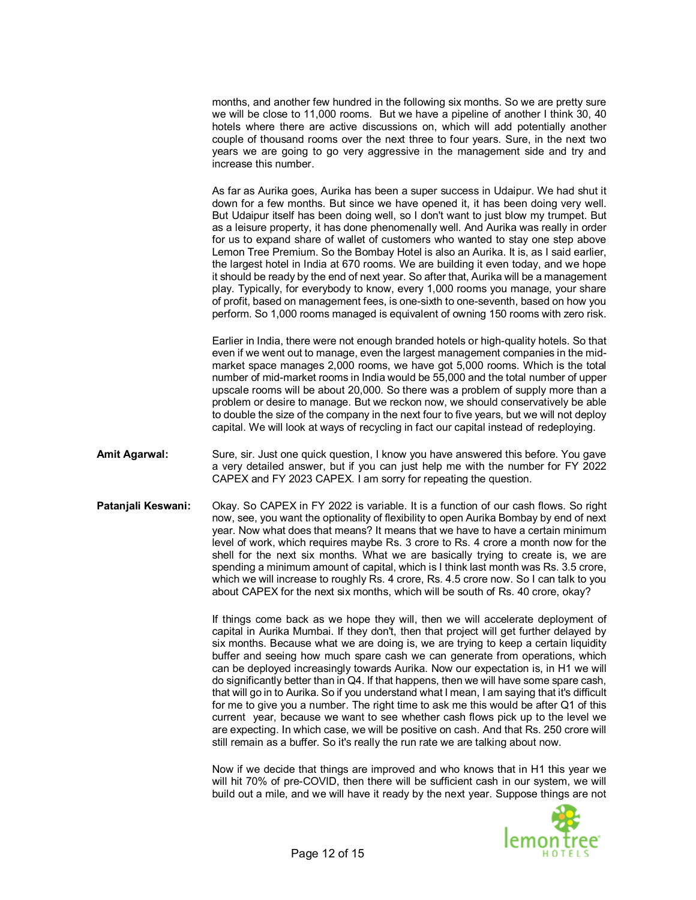months, and another few hundred in the following six months. So we are pretty sure we will be close to 11,000 rooms. But we have a pipeline of another I think 30, 40 hotels where there are active discussions on, which will add potentially another couple of thousand rooms over the next three to four years. Sure, in the next two years we are going to go very aggressive in the management side and try and increase this number.

As far as Aurika goes, Aurika has been a super success in Udaipur. We had shut it down for a few months. But since we have opened it, it has been doing very well. But Udaipur itself has been doing well, so I don't want to just blow my trumpet. But as a leisure property, it has done phenomenally well. And Aurika was really in order for us to expand share of wallet of customers who wanted to stay one step above Lemon Tree Premium. So the Bombay Hotel is also an Aurika. It is, as I said earlier, the largest hotel in India at 670 rooms. We are building it even today, and we hope it should be ready by the end of next year. So after that, Aurika will be a management play. Typically, for everybody to know, every 1,000 rooms you manage, your share of profit, based on management fees, is one-sixth to one-seventh, based on how you perform. So 1,000 rooms managed is equivalent of owning 150 rooms with zero risk.

Earlier in India, there were not enough branded hotels or high-quality hotels. So that even if we went out to manage, even the largest management companies in the midmarket space manages 2,000 rooms, we have got 5,000 rooms. Which is the total number of mid-market rooms in India would be 55,000 and the total number of upper upscale rooms will be about 20,000. So there was a problem of supply more than a problem or desire to manage. But we reckon now, we should conservatively be able to double the size of the company in the next four to five years, but we will not deploy capital. We will look at ways of recycling in fact our capital instead of redeploying.

- **Amit Agarwal:** Sure, sir. Just one quick question, I know you have answered this before. You gave a very detailed answer, but if you can just help me with the number for FY 2022 CAPEX and FY 2023 CAPEX. I am sorry for repeating the question.
- **Patanjali Keswani:** Okay. So CAPEX in FY 2022 is variable. It is a function of our cash flows. So right now, see, you want the optionality of flexibility to open Aurika Bombay by end of next year. Now what does that means? It means that we have to have a certain minimum level of work, which requires maybe Rs. 3 crore to Rs. 4 crore a month now for the shell for the next six months. What we are basically trying to create is, we are spending a minimum amount of capital, which is I think last month was Rs. 3.5 crore, which we will increase to roughly Rs. 4 crore, Rs. 4.5 crore now. So I can talk to you about CAPEX for the next six months, which will be south of Rs. 40 crore, okay?

If things come back as we hope they will, then we will accelerate deployment of capital in Aurika Mumbai. If they don't, then that project will get further delayed by six months. Because what we are doing is, we are trying to keep a certain liquidity buffer and seeing how much spare cash we can generate from operations, which can be deployed increasingly towards Aurika. Now our expectation is, in H1 we will do significantly better than in Q4. If that happens, then we will have some spare cash, that will go in to Aurika. So if you understand what I mean, I am saying that it's difficult for me to give you a number. The right time to ask me this would be after Q1 of this current year, because we want to see whether cash flows pick up to the level we are expecting. In which case, we will be positive on cash. And that Rs. 250 crore will still remain as a buffer. So it's really the run rate we are talking about now.

Now if we decide that things are improved and who knows that in H1 this year we will hit 70% of pre-COVID, then there will be sufficient cash in our system, we will build out a mile, and we will have it ready by the next year. Suppose things are not

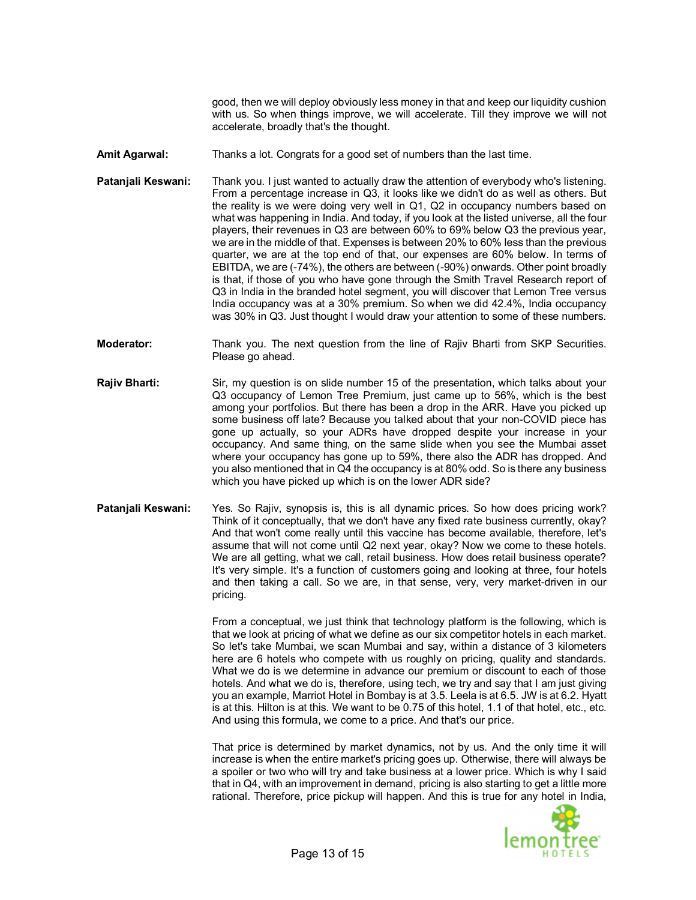good, then we will deploy obviously less money in that and keep our liquidity cushion with us. So when things improve, we will accelerate. Till they improve we will not accelerate, broadly that's the thought.

- **Amit Agarwal:** Thanks a lot. Congrats for a good set of numbers than the last time.
- **Patanjali Keswani:** Thank you. I just wanted to actually draw the attention of everybody who's listening. From a percentage increase in Q3, it looks like we didn't do as well as others. But the reality is we were doing very well in Q1, Q2 in occupancy numbers based on what was happening in India. And today, if you look at the listed universe, all the four players, their revenues in Q3 are between 60% to 69% below Q3 the previous year, we are in the middle of that. Expenses is between 20% to 60% less than the previous quarter, we are at the top end of that, our expenses are 60% below. In terms of EBITDA, we are (-74%), the others are between (-90%) onwards. Other point broadly is that, if those of you who have gone through the Smith Travel Research report of Q3 in India in the branded hotel segment, you will discover that Lemon Tree versus India occupancy was at a 30% premium. So when we did 42.4%, India occupancy was 30% in Q3. Just thought I would draw your attention to some of these numbers.
- **Moderator:** Thank you. The next question from the line of Rajiv Bharti from SKP Securities. Please go ahead.
- **Rajiv Bharti:** Sir, my question is on slide number 15 of the presentation, which talks about your Q3 occupancy of Lemon Tree Premium, just came up to 56%, which is the best among your portfolios. But there has been a drop in the ARR. Have you picked up some business off late? Because you talked about that your non-COVID piece has gone up actually, so your ADRs have dropped despite your increase in your occupancy. And same thing, on the same slide when you see the Mumbai asset where your occupancy has gone up to 59%, there also the ADR has dropped. And you also mentioned that in Q4 the occupancy is at 80% odd. So is there any business which you have picked up which is on the lower ADR side?
- **Patanjali Keswani:** Yes. So Rajiv, synopsis is, this is all dynamic prices. So how does pricing work? Think of it conceptually, that we don't have any fixed rate business currently, okay? And that won't come really until this vaccine has become available, therefore, let's assume that will not come until Q2 next year, okay? Now we come to these hotels. We are all getting, what we call, retail business. How does retail business operate? It's very simple. It's a function of customers going and looking at three, four hotels and then taking a call. So we are, in that sense, very, very market-driven in our pricing.

From a conceptual, we just think that technology platform is the following, which is that we look at pricing of what we define as our six competitor hotels in each market. So let's take Mumbai, we scan Mumbai and say, within a distance of 3 kilometers here are 6 hotels who compete with us roughly on pricing, quality and standards. What we do is we determine in advance our premium or discount to each of those hotels. And what we do is, therefore, using tech, we try and say that I am just giving you an example, Marriot Hotel in Bombay is at 3.5. Leela is at 6.5. JW is at 6.2. Hyatt is at this. Hilton is at this. We want to be 0.75 of this hotel, 1.1 of that hotel, etc., etc. And using this formula, we come to a price. And that's our price.

That price is determined by market dynamics, not by us. And the only time it will increase is when the entire market's pricing goes up. Otherwise, there will always be a spoiler or two who will try and take business at a lower price. Which is why I said that in Q4, with an improvement in demand, pricing is also starting to get a little more rational. Therefore, price pickup will happen. And this is true for any hotel in India,

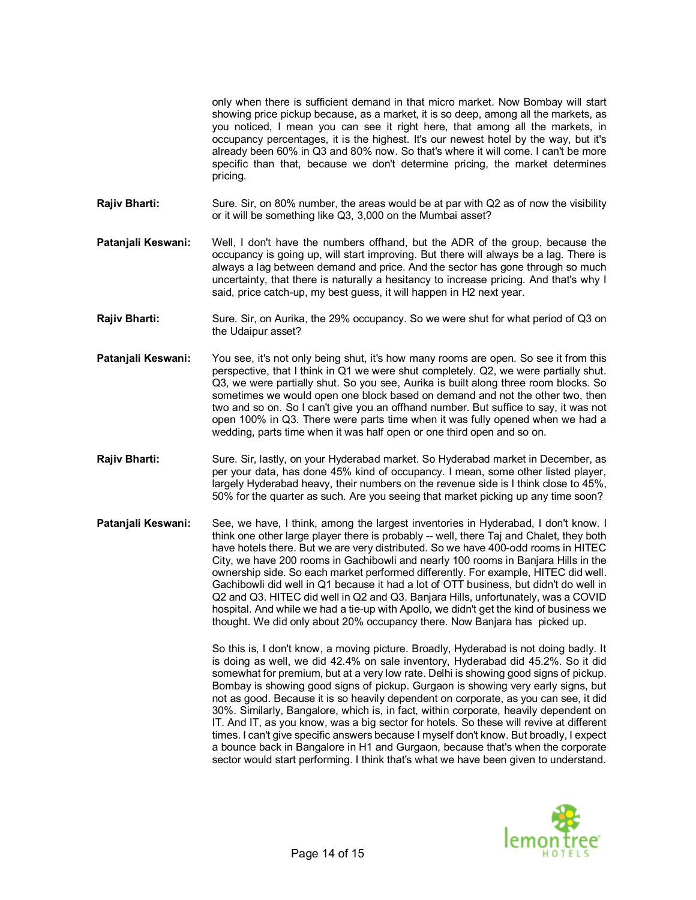only when there is sufficient demand in that micro market. Now Bombay will start showing price pickup because, as a market, it is so deep, among all the markets, as you noticed, I mean you can see it right here, that among all the markets, in occupancy percentages, it is the highest. It's our newest hotel by the way, but it's already been 60% in Q3 and 80% now. So that's where it will come. I can't be more specific than that, because we don't determine pricing, the market determines pricing.

**Rajiv Bharti:** Sure. Sir, on 80% number, the areas would be at par with Q2 as of now the visibility or it will be something like Q3, 3,000 on the Mumbai asset?

- **Patanjali Keswani:** Well, I don't have the numbers offhand, but the ADR of the group, because the occupancy is going up, will start improving. But there will always be a lag. There is always a lag between demand and price. And the sector has gone through so much uncertainty, that there is naturally a hesitancy to increase pricing. And that's why I said, price catch-up, my best guess, it will happen in H2 next year.
- **Rajiv Bharti:** Sure. Sir, on Aurika, the 29% occupancy. So we were shut for what period of Q3 on the Udaipur asset?
- **Patanjali Keswani:** You see, it's not only being shut, it's how many rooms are open. So see it from this perspective, that I think in Q1 we were shut completely. Q2, we were partially shut. Q3, we were partially shut. So you see, Aurika is built along three room blocks. So sometimes we would open one block based on demand and not the other two, then two and so on. So I can't give you an offhand number. But suffice to say, it was not open 100% in Q3. There were parts time when it was fully opened when we had a wedding, parts time when it was half open or one third open and so on.
- **Rajiv Bharti:** Sure. Sir, lastly, on your Hyderabad market. So Hyderabad market in December, as per your data, has done 45% kind of occupancy. I mean, some other listed player, largely Hyderabad heavy, their numbers on the revenue side is I think close to 45%, 50% for the quarter as such. Are you seeing that market picking up any time soon?
- **Patanjali Keswani:** See, we have, I think, among the largest inventories in Hyderabad, I don't know. I think one other large player there is probably -- well, there Taj and Chalet, they both have hotels there. But we are very distributed. So we have 400-odd rooms in HITEC City, we have 200 rooms in Gachibowli and nearly 100 rooms in Banjara Hills in the ownership side. So each market performed differently. For example, HITEC did well. Gachibowli did well in Q1 because it had a lot of OTT business, but didn't do well in Q2 and Q3. HITEC did well in Q2 and Q3. Banjara Hills, unfortunately, was a COVID hospital. And while we had a tie-up with Apollo, we didn't get the kind of business we thought. We did only about 20% occupancy there. Now Banjara has picked up.

So this is, I don't know, a moving picture. Broadly, Hyderabad is not doing badly. It is doing as well, we did 42.4% on sale inventory, Hyderabad did 45.2%. So it did somewhat for premium, but at a very low rate. Delhi is showing good signs of pickup. Bombay is showing good signs of pickup. Gurgaon is showing very early signs, but not as good. Because it is so heavily dependent on corporate, as you can see, it did 30%. Similarly, Bangalore, which is, in fact, within corporate, heavily dependent on IT. And IT, as you know, was a big sector for hotels. So these will revive at different times. I can't give specific answers because I myself don't know. But broadly, I expect a bounce back in Bangalore in H1 and Gurgaon, because that's when the corporate sector would start performing. I think that's what we have been given to understand.